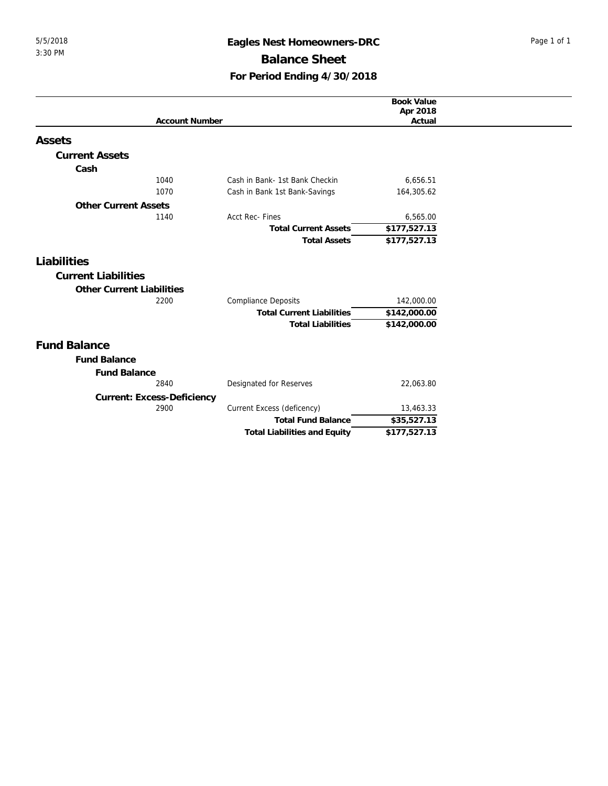## 5/5/2018 **Eagles Nest Homeowners-DRC** Page 1 of 1 **Balance Sheet For Period Ending 4/30/2018**

|                                  |                                     | <b>Book Value</b>  |
|----------------------------------|-------------------------------------|--------------------|
| <b>Account Number</b>            |                                     | Apr 2018<br>Actual |
|                                  |                                     |                    |
| Assets                           |                                     |                    |
| <b>Current Assets</b>            |                                     |                    |
| Cash                             |                                     |                    |
| 1040                             | Cash in Bank- 1st Bank Checkin      | 6,656.51           |
| 1070                             | Cash in Bank 1st Bank-Savings       | 164,305.62         |
| <b>Other Current Assets</b>      |                                     |                    |
| 1140                             | <b>Acct Rec-Fines</b>               | 6,565.00           |
|                                  | <b>Total Current Assets</b>         | \$177,527.13       |
|                                  | <b>Total Assets</b>                 | \$177,527.13       |
| Liabilities                      |                                     |                    |
|                                  |                                     |                    |
| <b>Current Liabilities</b>       |                                     |                    |
| <b>Other Current Liabilities</b> |                                     |                    |
| 2200                             | <b>Compliance Deposits</b>          | 142,000.00         |
|                                  | <b>Total Current Liabilities</b>    | \$142,000.00       |
|                                  | <b>Total Liabilities</b>            | \$142,000.00       |
| <b>Fund Balance</b>              |                                     |                    |
| <b>Fund Balance</b>              |                                     |                    |
| <b>Fund Balance</b>              |                                     |                    |
| 2840                             | Designated for Reserves             | 22,063.80          |
| Current: Excess-Deficiency       |                                     |                    |
| 2900                             | Current Excess (deficency)          | 13,463.33          |
|                                  | <b>Total Fund Balance</b>           | \$35,527.13        |
|                                  | <b>Total Liabilities and Equity</b> | \$177,527.13       |
|                                  |                                     |                    |